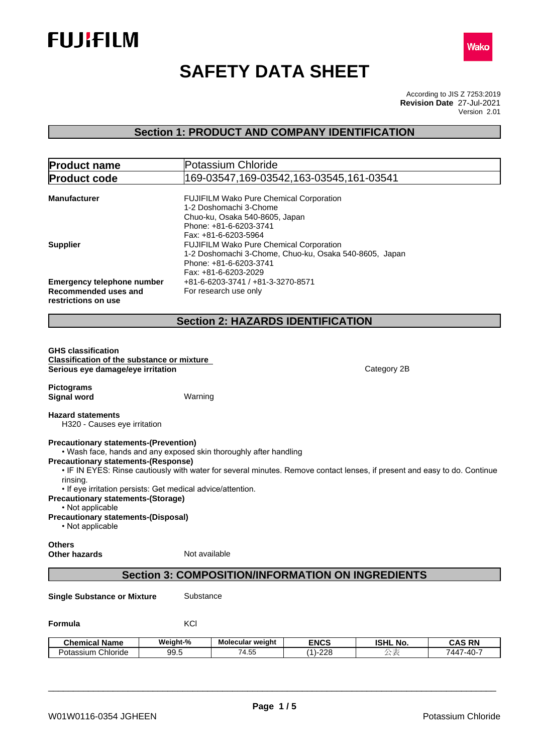



# **SAFETY DATA SHEET**

According to JIS Z 7253:2019 Version 2.01 **Revision Date** 27-Jul-2021

# **Section 1: PRODUCT AND COMPANY IDENTIFICATION**

| <b>Product name</b>                                                                                                                                                                                                                                                                                                                                                                                                                                                                                        |               | Potassium Chloride                                                                                                            |             |                 |               |  |  |
|------------------------------------------------------------------------------------------------------------------------------------------------------------------------------------------------------------------------------------------------------------------------------------------------------------------------------------------------------------------------------------------------------------------------------------------------------------------------------------------------------------|---------------|-------------------------------------------------------------------------------------------------------------------------------|-------------|-----------------|---------------|--|--|
| <b>Product code</b>                                                                                                                                                                                                                                                                                                                                                                                                                                                                                        |               | 169-03547,169-03542,163-03545,161-03541                                                                                       |             |                 |               |  |  |
| <b>Manufacturer</b>                                                                                                                                                                                                                                                                                                                                                                                                                                                                                        |               | FUJIFILM Wako Pure Chemical Corporation<br>1-2 Doshomachi 3-Chome<br>Chuo-ku, Osaka 540-8605, Japan<br>Phone: +81-6-6203-3741 |             |                 |               |  |  |
| Fax: +81-6-6203-5964<br>FUJIFILM Wako Pure Chemical Corporation<br><b>Supplier</b><br>1-2 Doshomachi 3-Chome, Chuo-ku, Osaka 540-8605, Japan<br>Phone: +81-6-6203-3741<br>Fax: +81-6-6203-2029                                                                                                                                                                                                                                                                                                             |               |                                                                                                                               |             |                 |               |  |  |
| <b>Emergency telephone number</b><br>Recommended uses and<br>restrictions on use                                                                                                                                                                                                                                                                                                                                                                                                                           |               | +81-6-6203-3741 / +81-3-3270-8571<br>For research use only                                                                    |             |                 |               |  |  |
|                                                                                                                                                                                                                                                                                                                                                                                                                                                                                                            |               | <b>Section 2: HAZARDS IDENTIFICATION</b>                                                                                      |             |                 |               |  |  |
| <b>GHS classification</b><br><b>Classification of the substance or mixture</b><br>Serious eye damage/eye irritation                                                                                                                                                                                                                                                                                                                                                                                        |               |                                                                                                                               |             | Category 2B     |               |  |  |
| <b>Pictograms</b><br><b>Signal word</b>                                                                                                                                                                                                                                                                                                                                                                                                                                                                    | Warning       |                                                                                                                               |             |                 |               |  |  |
| <b>Hazard statements</b><br>H320 - Causes eye irritation                                                                                                                                                                                                                                                                                                                                                                                                                                                   |               |                                                                                                                               |             |                 |               |  |  |
| <b>Precautionary statements-(Prevention)</b><br>. Wash face, hands and any exposed skin thoroughly after handling<br><b>Precautionary statements-(Response)</b><br>. IF IN EYES: Rinse cautiously with water for several minutes. Remove contact lenses, if present and easy to do. Continue<br>rinsing.<br>• If eye irritation persists: Get medical advice/attention.<br><b>Precautionary statements-(Storage)</b><br>• Not applicable<br><b>Precautionary statements-(Disposal)</b><br>• Not applicable |               |                                                                                                                               |             |                 |               |  |  |
| <b>Others</b><br><b>Other hazards</b>                                                                                                                                                                                                                                                                                                                                                                                                                                                                      | Not available |                                                                                                                               |             |                 |               |  |  |
|                                                                                                                                                                                                                                                                                                                                                                                                                                                                                                            |               | <b>Section 3: COMPOSITION/INFORMATION ON INGREDIENTS</b>                                                                      |             |                 |               |  |  |
| <b>Single Substance or Mixture</b>                                                                                                                                                                                                                                                                                                                                                                                                                                                                         | Substance     |                                                                                                                               |             |                 |               |  |  |
| Formula                                                                                                                                                                                                                                                                                                                                                                                                                                                                                                    | KCI           |                                                                                                                               |             |                 |               |  |  |
| <b>Chemical Name</b>                                                                                                                                                                                                                                                                                                                                                                                                                                                                                       | Weight-%      | Molecular weight                                                                                                              | <b>ENCS</b> | <b>ISHL No.</b> | <b>CAS RN</b> |  |  |
| Potassium Chloride                                                                                                                                                                                                                                                                                                                                                                                                                                                                                         | 99.5          | 74.55                                                                                                                         | $(1) - 228$ | 公表              | 7447-40-7     |  |  |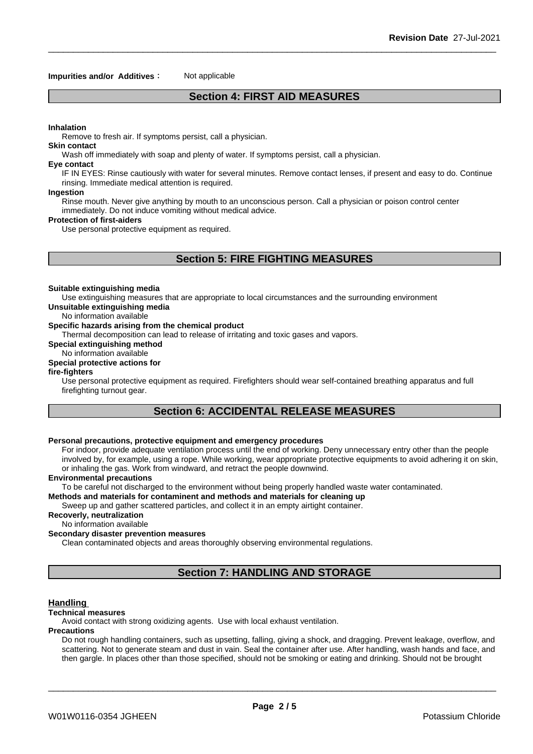#### **Impurities and/or Additives**: Not applicable

# **Section 4: FIRST AID MEASURES**

#### **Inhalation**

Remove to fresh air. If symptoms persist, call a physician.

#### **Skin contact**

Wash off immediately with soap and plenty of water. If symptoms persist, calla physician.

#### **Eye contact**

IF IN EYES: Rinse cautiously with water for several minutes. Remove contact lenses, if present and easy to do. Continue rinsing. Immediate medical attention is required.

#### **Ingestion**

Rinse mouth. Never give anything by mouth to an unconscious person. Call a physician or poison control center immediately. Do not induce vomiting without medical advice.

#### **Protection of first-aiders**

Use personal protective equipment as required.

# **Section 5: FIRE FIGHTING MEASURES**

#### **Suitable extinguishing media**

Use extinguishing measures that are appropriate to local circumstances and the surrounding environment

**Unsuitable extinguishing media**

No information available

#### **Specific hazards arising from the chemical product**

Thermal decomposition can lead to release of irritating and toxic gases and vapors.

**Special extinguishing method**

# No information available

# **Special protective actions for**

**fire-fighters**

Use personal protective equipment as required. Firefighters should wear self-contained breathing apparatus and full firefighting turnout gear.

# **Section 6: ACCIDENTAL RELEASE MEASURES**

#### **Personal precautions, protective equipment and emergency procedures**

For indoor, provide adequate ventilation process until the end of working. Deny unnecessary entry other than the people involved by, for example, using a rope. While working, wear appropriate protective equipments to avoid adhering it on skin, or inhaling the gas. Work from windward, and retract the people downwind.

#### **Environmental precautions**

To be careful not discharged to the environment without being properly handled waste water contaminated.

#### **Methods and materials for contaminent and methods and materials for cleaning up**

Sweep up and gather scattered particles, and collect it in an empty airtight container.

# **Recoverly, neutralization**

No information available

## **Secondary disaster prevention measures**

Clean contaminated objects and areas thoroughly observing environmental regulations.

# **Section 7: HANDLING AND STORAGE**

#### **Handling**

#### **Technical measures**

Avoid contact with strong oxidizing agents. Use with local exhaust ventilation.

#### **Precautions**

Do not rough handling containers, such as upsetting, falling, giving a shock, and dragging. Prevent leakage, overflow, and scattering. Not to generate steam and dust in vain. Seal the container after use. After handling, wash hands and face, and then gargle. In places other than those specified, should not be smoking or eating and drinking. Should not be brought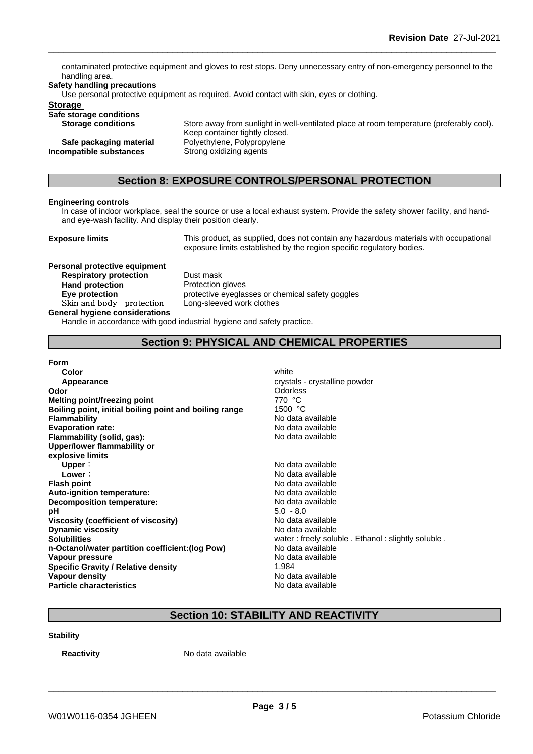contaminated protective equipment and gloves to rest stops. Deny unnecessary entry of non-emergency personnel to the handling area.

#### **Safety handling precautions**

Use personal protective equipment as required. Avoid contact with skin, eyes or clothing.

#### **Storage**

**Safe storage conditions**

**Incompatible substances** Strong oxidizing agents

**Storage conditions** Store away from sunlight in well-ventilated place at room temperature (preferably cool). Keep container tightly closed. **Safe packaging material** Polyethylene, Polypropylene

# **Section 8: EXPOSURE CONTROLS/PERSONAL PROTECTION**

#### **Engineering controls**

In case of indoor workplace, seal the source or use a local exhaust system. Provide the safety shower facility, and handand eye-wash facility. And display their position clearly.

**Exposure limits** This product, as supplied, does not contain any hazardous materials with occupational exposure limits established by the region specific regulatory bodies.

# **Personal protective equipment Respiratory protection** Dust mask **Hand protection** Protection gloves **Skinandbody protection** Long-sleeved work clothes

**Eye protection Exercise** protective eyeglasses or chemical safety goggles

**General hygiene considerations**

Handle in accordance with good industrial hygiene and safety practice.

# **Section 9: PHYSICAL AND CHEMICAL PROPERTIES**

### **Form**

**Color** white the color of the color white the color of the color of the color of the color of the color of the color **Appearance crystals - crystalline powder Odor Odor Odorless Odorless Odorless Odorless Melting point/freezing point** 770 °C **Boiling point, initial boiling point and boiling range** 1500 °C **Flammability**<br> **Flammability**<br> **Evaporation rate:**<br>
No data available<br>
No data available **Evaporation** rate: **Flammability (solid, gas):** No data available **Upper/lower flammability or explosive limits Upper** : No data available **Lower**: No data available **Flash point No data available Auto-ignition temperature:** No data available **Decomposition temperature:**<br> **Decomposition temperature:**<br> **Decomposition temperature:**<br> **Decomposition temperature:**<br> **Decomposition temperature:**<br> **Decomposition temperature: pH** 5.0 - 8.0 **Viscosity (coefficient of viscosity)** No data available **Dynamic viscosity No data available No data available No data available Solubilities Solubilities Solubilities Solubilities water:** freely soluble . Ethanol : slightly soluble . **n-Octanol/water partition coefficient:(log Pow)** No data available **Vapour pressure**<br> **Specific Gravity / Relative density**<br> **Specific Gravity / Relative density**<br> **No data available Specific Gravity / Relative density Vapour density** No data available **Particle characteristics** No data available

# **Section 10: STABILITY AND REACTIVITY**

#### **Stability**

**Reactivity** No data available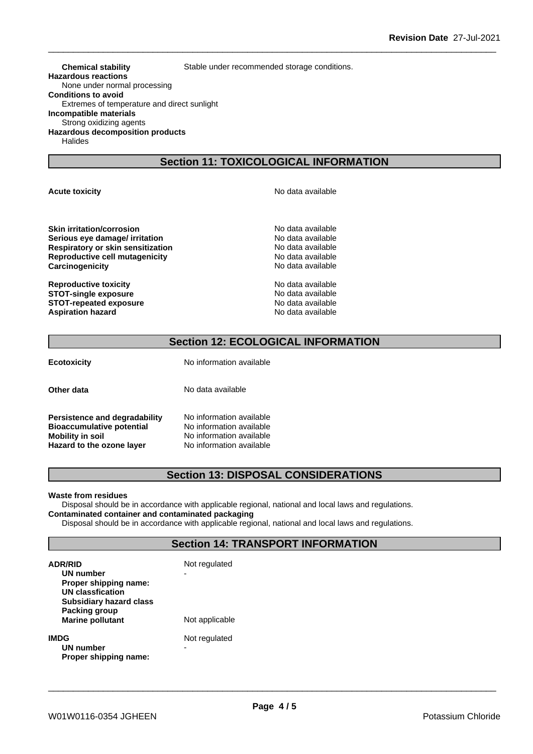**Chemical stability** Stable under recommended storage conditions.

**Hazardous reactions** None under normal processing **Conditions to avoid** Extremes of temperature and direct sunlight **Incompatible materials** Strong oxidizing agents **Hazardous decomposition products** Halides

# **Section 11: TOXICOLOGICAL INFORMATION**

**Skin irritation/corrosion** No data available **Serious eye damage/ irritation No data available Respiratory or skin sensitization** No data available

**Reproductive toxicity No data available** No data available **STOT-single exposure**<br> **STOT-repeated exposure**<br> **STOT-repeated exposure**<br> **No data available STOT-repeated exposure**<br> **Aspiration hazard**<br> **Aspiration hazard**<br> **Aspiration hazard Aspiration hazard** 

**Acute toxicity Acute toxicity Acute has a structure in the structure of**  $\mathbb{R}^n$  **No data available** 

**Reproductive cell mutagenicity** No data available **Carcinogenicity Carcinogenicity No data available** 

# **Section 12: ECOLOGICAL INFORMATION**

**Ecotoxicity** No information available

**Other data** No data available

**Persistence and degradability** No information available **Bioaccumulative potential** No information available **Mobility in soil**<br> **Hazard to the ozone layer** Mo information available **Hazard** to the ozone layer

# **Section 13: DISPOSAL CONSIDERATIONS**

#### **Waste from residues**

Disposal should be in accordance with applicable regional, national and local laws and regulations. **Contaminated container and contaminated packaging**

Disposal should be in accordance with applicable regional, national and local laws and regulations.

# **Section 14: TRANSPORT INFORMATION**

| <b>ADR/RID</b><br>UN number<br>Proper shipping name:<br><b>UN classfication</b><br><b>Subsidiary hazard class</b> | Not regulated  |  |
|-------------------------------------------------------------------------------------------------------------------|----------------|--|
| Packing group<br><b>Marine pollutant</b>                                                                          | Not applicable |  |
| <b>IMDG</b><br>UN number<br>Proper shipping name:                                                                 | Not regulated  |  |